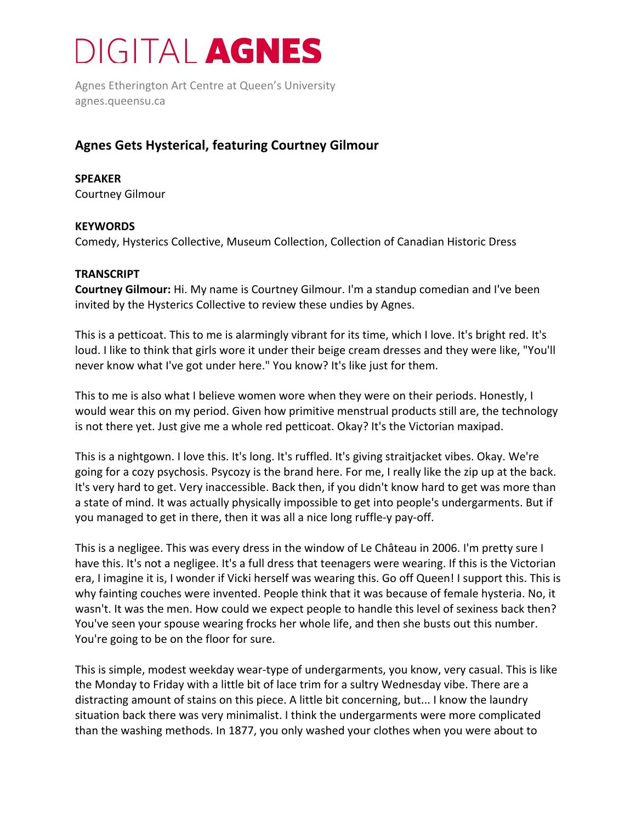## **DIGITAL AGNES**

Agnes Etherington Art Centre at Queen's University agnes.queensu.ca

### **Agnes Gets Hysterical, featuring Courtney Gilmour**

#### **SPEAKER** Courtney Gilmour

#### **KEYWORDS**

Comedy, Hysterics Collective, Museum Collection, Collection of Canadian Historic Dress

#### **TRANSCRIPT**

**Courtney Gilmour:** Hi. My name is Courtney Gilmour. I'm a standup comedian and I've been invited by the Hysterics Collective to review these undies by Agnes.

This is a petticoat. This to me is alarmingly vibrant for its time, which I love. It's bright red. It's loud. I like to think that girls wore it under their beige cream dresses and they were like, "You'll never know what I've got under here." You know? It's like just for them.

This to me is also what I believe women wore when they were on their periods. Honestly, I would wear this on my period. Given how primitive menstrual products still are, the technology is not there yet. Just give me a whole red petticoat. Okay? It's the Victorian maxipad.

This is a nightgown. I love this. It's long. It's ruffled. It's giving straitjacket vibes. Okay. We're going for a cozy psychosis. Psycozy is the brand here. For me, I really like the zip up at the back. It's very hard to get. Very inaccessible. Back then, if you didn't know hard to get was more than a state of mind. It was actually physically impossible to get into people's undergarments. But if you managed to get in there, then it was all a nice long ruffle-y pay-off.

This is a negligee. This was every dress in the window of Le Château in 2006. I'm pretty sure I have this. It's not a negligee. It's a full dress that teenagers were wearing. If this is the Victorian era, I imagine it is, I wonder if Vicki herself was wearing this. Go off Queen! I support this. This is why fainting couches were invented. People think that it was because of female hysteria. No, it wasn't. It was the men. How could we expect people to handle this level of sexiness back then? You've seen your spouse wearing frocks her whole life, and then she busts out this number. You're going to be on the floor for sure.

This is simple, modest weekday wear-type of undergarments, you know, very casual. This is like the Monday to Friday with a little bit of lace trim for a sultry Wednesday vibe. There are a distracting amount of stains on this piece. A little bit concerning, but... I know the laundry situation back there was very minimalist. I think the undergarments were more complicated than the washing methods. In 1877, you only washed your clothes when you were about to